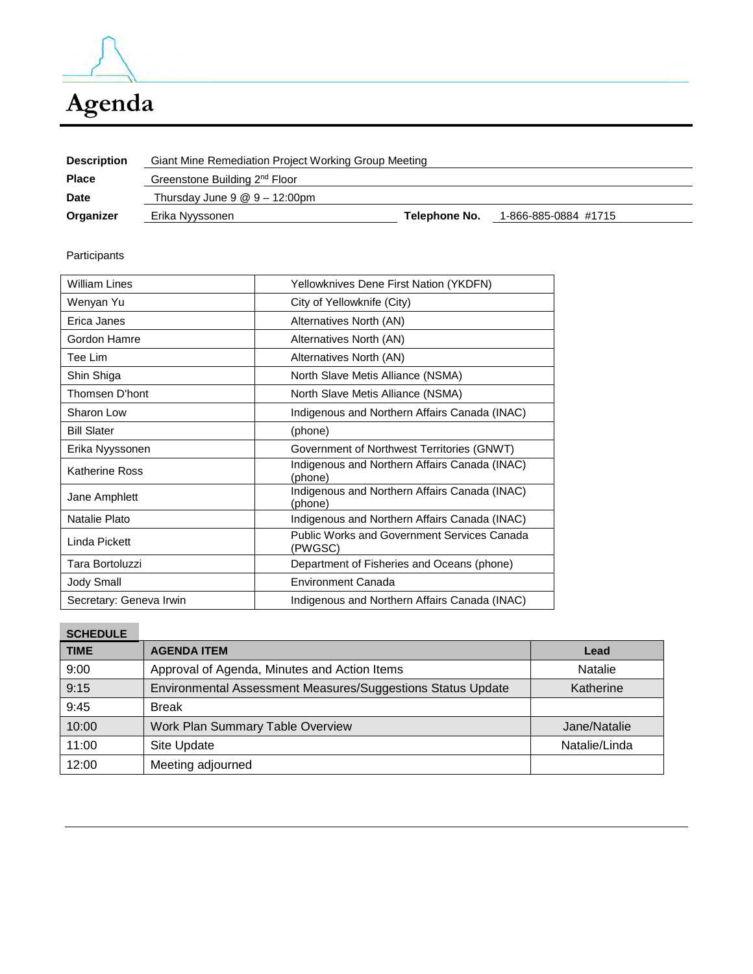

# **Agenda**

| <b>Description</b> | Giant Mine Remediation Project Working Group Meeting           |               |                      |  |  |
|--------------------|----------------------------------------------------------------|---------------|----------------------|--|--|
| <b>Place</b>       | Greenstone Building 2 <sup>nd</sup> Floor                      |               |                      |  |  |
| <b>Date</b>        | Thursday June $9 \text{ } \textcircled{ } 9 - 12:00 \text{pm}$ |               |                      |  |  |
| Organizer          | Erika Nyyssonen                                                | Telephone No. | 1-866-885-0884 #1715 |  |  |

Participants

| William Lines<br>Yellowknives Dene First Nation (YKDFN) |                                                               |
|---------------------------------------------------------|---------------------------------------------------------------|
| Wenyan Yu                                               | City of Yellowknife (City)                                    |
| Erica Janes                                             | Alternatives North (AN)                                       |
| Gordon Hamre                                            | Alternatives North (AN)                                       |
| Tee Lim                                                 | Alternatives North (AN)                                       |
| Shin Shiga                                              | North Slave Metis Alliance (NSMA)                             |
| Thomsen D'hont                                          | North Slave Metis Alliance (NSMA)                             |
| Sharon Low                                              | Indigenous and Northern Affairs Canada (INAC)                 |
| <b>Bill Slater</b>                                      | (phone)                                                       |
| Erika Nyyssonen                                         | Government of Northwest Territories (GNWT)                    |
| <b>Katherine Ross</b>                                   | Indigenous and Northern Affairs Canada (INAC)<br>(phone)      |
| Jane Amphlett                                           | Indigenous and Northern Affairs Canada (INAC)<br>(phone)      |
| Natalie Plato                                           | Indigenous and Northern Affairs Canada (INAC)                 |
| Linda Pickett                                           | <b>Public Works and Government Services Canada</b><br>(PWGSC) |
| Tara Bortoluzzi                                         | Department of Fisheries and Oceans (phone)                    |
| Jody Small                                              | <b>Environment Canada</b>                                     |
| Secretary: Geneva Irwin                                 | Indigenous and Northern Affairs Canada (INAC)                 |

## **SCHEDULE**

| <b>TIME</b> | <b>AGENDA ITEM</b>                                          | Lead           |
|-------------|-------------------------------------------------------------|----------------|
| 9:00        | Approval of Agenda, Minutes and Action Items                | <b>Natalie</b> |
| 9:15        | Environmental Assessment Measures/Suggestions Status Update | Katherine      |
| 9:45        | <b>Break</b>                                                |                |
| 10:00       | Work Plan Summary Table Overview                            | Jane/Natalie   |
| 11:00       | Site Update                                                 | Natalie/Linda  |
| 12:00       | Meeting adjourned                                           |                |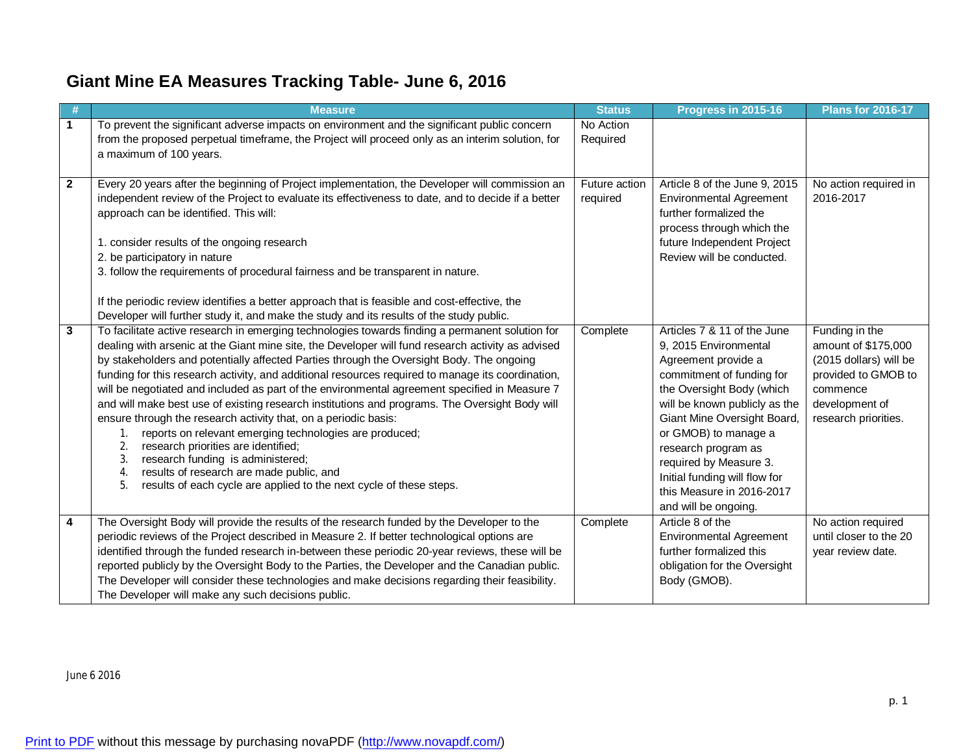# **Giant Mine EA Measures Tracking Table- June 6, 2016**

|              | <b>Measure</b>                                                                                                                                                                                                                                                                                                                                                                                                                                                                                                                                                                                                                                                                                                                                                                            | <b>Status</b>             | Progress in 2015-16                                                                                                                                                                                                           | <b>Plans for 2016-17</b>                                                                                                                     |
|--------------|-------------------------------------------------------------------------------------------------------------------------------------------------------------------------------------------------------------------------------------------------------------------------------------------------------------------------------------------------------------------------------------------------------------------------------------------------------------------------------------------------------------------------------------------------------------------------------------------------------------------------------------------------------------------------------------------------------------------------------------------------------------------------------------------|---------------------------|-------------------------------------------------------------------------------------------------------------------------------------------------------------------------------------------------------------------------------|----------------------------------------------------------------------------------------------------------------------------------------------|
| $\mathbf{1}$ | To prevent the significant adverse impacts on environment and the significant public concern<br>from the proposed perpetual timeframe, the Project will proceed only as an interim solution, for<br>a maximum of 100 years.                                                                                                                                                                                                                                                                                                                                                                                                                                                                                                                                                               | No Action<br>Required     |                                                                                                                                                                                                                               |                                                                                                                                              |
|              |                                                                                                                                                                                                                                                                                                                                                                                                                                                                                                                                                                                                                                                                                                                                                                                           |                           |                                                                                                                                                                                                                               |                                                                                                                                              |
| $\mathbf{2}$ | Every 20 years after the beginning of Project implementation, the Developer will commission an<br>independent review of the Project to evaluate its effectiveness to date, and to decide if a better<br>approach can be identified. This will:                                                                                                                                                                                                                                                                                                                                                                                                                                                                                                                                            | Future action<br>required | Article 8 of the June 9, 2015<br><b>Environmental Agreement</b><br>further formalized the<br>process through which the                                                                                                        | No action required in<br>2016-2017                                                                                                           |
|              | 1. consider results of the ongoing research                                                                                                                                                                                                                                                                                                                                                                                                                                                                                                                                                                                                                                                                                                                                               |                           | future Independent Project                                                                                                                                                                                                    |                                                                                                                                              |
|              | 2. be participatory in nature                                                                                                                                                                                                                                                                                                                                                                                                                                                                                                                                                                                                                                                                                                                                                             |                           | Review will be conducted.                                                                                                                                                                                                     |                                                                                                                                              |
|              | 3. follow the requirements of procedural fairness and be transparent in nature.                                                                                                                                                                                                                                                                                                                                                                                                                                                                                                                                                                                                                                                                                                           |                           |                                                                                                                                                                                                                               |                                                                                                                                              |
|              | If the periodic review identifies a better approach that is feasible and cost-effective, the<br>Developer will further study it, and make the study and its results of the study public.                                                                                                                                                                                                                                                                                                                                                                                                                                                                                                                                                                                                  |                           |                                                                                                                                                                                                                               |                                                                                                                                              |
| $\mathbf{3}$ | To facilitate active research in emerging technologies towards finding a permanent solution for<br>dealing with arsenic at the Giant mine site, the Developer will fund research activity as advised<br>by stakeholders and potentially affected Parties through the Oversight Body. The ongoing<br>funding for this research activity, and additional resources required to manage its coordination,<br>will be negotiated and included as part of the environmental agreement specified in Measure 7<br>and will make best use of existing research institutions and programs. The Oversight Body will<br>ensure through the research activity that, on a periodic basis:<br>reports on relevant emerging technologies are produced;<br>1.<br>research priorities are identified;<br>2. | Complete                  | Articles 7 & 11 of the June<br>9, 2015 Environmental<br>Agreement provide a<br>commitment of funding for<br>the Oversight Body (which<br>will be known publicly as the<br>Giant Mine Oversight Board,<br>or GMOB) to manage a | Funding in the<br>amount of \$175,000<br>(2015 dollars) will be<br>provided to GMOB to<br>commence<br>development of<br>research priorities. |
|              | research funding is administered;<br>3.<br>results of research are made public, and<br>4.<br>5.<br>results of each cycle are applied to the next cycle of these steps.                                                                                                                                                                                                                                                                                                                                                                                                                                                                                                                                                                                                                    |                           | research program as<br>required by Measure 3.<br>Initial funding will flow for<br>this Measure in 2016-2017<br>and will be ongoing.                                                                                           |                                                                                                                                              |
| 4            | The Oversight Body will provide the results of the research funded by the Developer to the<br>periodic reviews of the Project described in Measure 2. If better technological options are<br>identified through the funded research in-between these periodic 20-year reviews, these will be<br>reported publicly by the Oversight Body to the Parties, the Developer and the Canadian public.<br>The Developer will consider these technologies and make decisions regarding their feasibility.<br>The Developer will make any such decisions public.                                                                                                                                                                                                                                    | Complete                  | Article 8 of the<br><b>Environmental Agreement</b><br>further formalized this<br>obligation for the Oversight<br>Body (GMOB).                                                                                                 | No action required<br>until closer to the 20<br>year review date.                                                                            |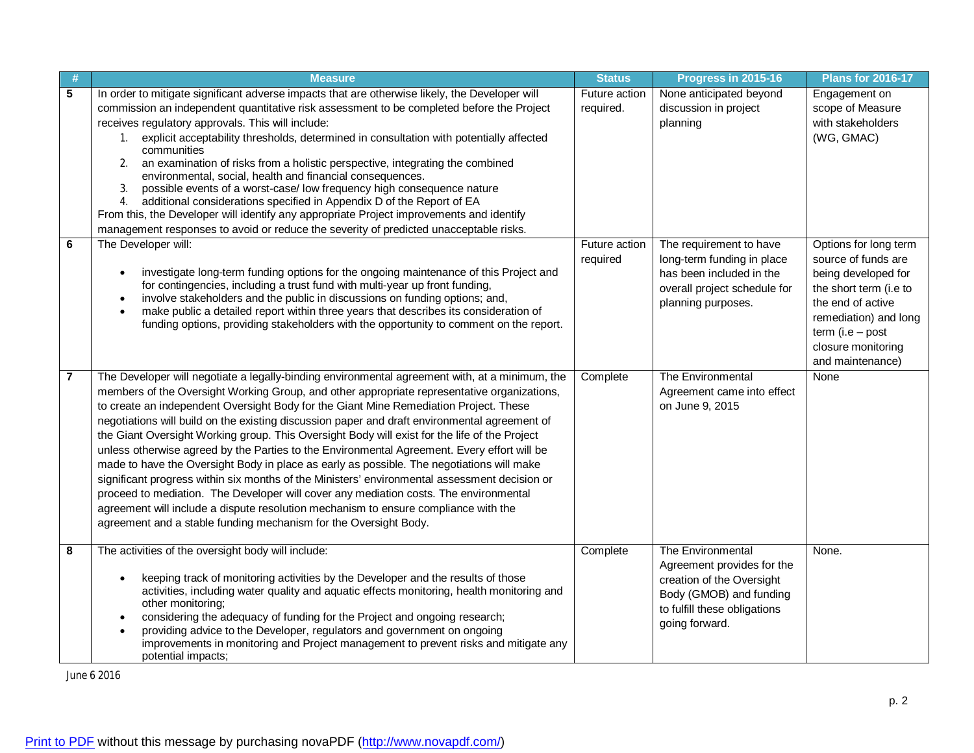|                | <b>Measure</b>                                                                                                                                                                                                                                                                                                                                                                                                                                                                                                                                                                                                                                                                                                                                                                                                                                                                                                                                                                                                                            | <b>Status</b>              | Progress in 2015-16                                                                                                                                       | <b>Plans for 2016-17</b>                                                                                                                                                                                     |
|----------------|-------------------------------------------------------------------------------------------------------------------------------------------------------------------------------------------------------------------------------------------------------------------------------------------------------------------------------------------------------------------------------------------------------------------------------------------------------------------------------------------------------------------------------------------------------------------------------------------------------------------------------------------------------------------------------------------------------------------------------------------------------------------------------------------------------------------------------------------------------------------------------------------------------------------------------------------------------------------------------------------------------------------------------------------|----------------------------|-----------------------------------------------------------------------------------------------------------------------------------------------------------|--------------------------------------------------------------------------------------------------------------------------------------------------------------------------------------------------------------|
| 5              | In order to mitigate significant adverse impacts that are otherwise likely, the Developer will<br>commission an independent quantitative risk assessment to be completed before the Project<br>receives regulatory approvals. This will include:<br>1. explicit acceptability thresholds, determined in consultation with potentially affected<br>communities<br>an examination of risks from a holistic perspective, integrating the combined<br>2.<br>environmental, social, health and financial consequences.<br>possible events of a worst-case/ low frequency high consequence nature<br>3.<br>additional considerations specified in Appendix D of the Report of EA<br>4.<br>From this, the Developer will identify any appropriate Project improvements and identify<br>management responses to avoid or reduce the severity of predicted unacceptable risks.                                                                                                                                                                     | Future action<br>required. | None anticipated beyond<br>discussion in project<br>planning                                                                                              | Engagement on<br>scope of Measure<br>with stakeholders<br>(WG, GMAC)                                                                                                                                         |
| 6              | The Developer will:<br>investigate long-term funding options for the ongoing maintenance of this Project and<br>$\bullet$<br>for contingencies, including a trust fund with multi-year up front funding,<br>involve stakeholders and the public in discussions on funding options; and,<br>$\bullet$<br>make public a detailed report within three years that describes its consideration of<br>$\bullet$<br>funding options, providing stakeholders with the opportunity to comment on the report.                                                                                                                                                                                                                                                                                                                                                                                                                                                                                                                                       | Future action<br>required  | The requirement to have<br>long-term funding in place<br>has been included in the<br>overall project schedule for<br>planning purposes.                   | Options for long term<br>source of funds are<br>being developed for<br>the short term (i.e to<br>the end of active<br>remediation) and long<br>term $(i.e - post)$<br>closure monitoring<br>and maintenance) |
| $\overline{7}$ | The Developer will negotiate a legally-binding environmental agreement with, at a minimum, the<br>members of the Oversight Working Group, and other appropriate representative organizations,<br>to create an independent Oversight Body for the Giant Mine Remediation Project. These<br>negotiations will build on the existing discussion paper and draft environmental agreement of<br>the Giant Oversight Working group. This Oversight Body will exist for the life of the Project<br>unless otherwise agreed by the Parties to the Environmental Agreement. Every effort will be<br>made to have the Oversight Body in place as early as possible. The negotiations will make<br>significant progress within six months of the Ministers' environmental assessment decision or<br>proceed to mediation. The Developer will cover any mediation costs. The environmental<br>agreement will include a dispute resolution mechanism to ensure compliance with the<br>agreement and a stable funding mechanism for the Oversight Body. | Complete                   | The Environmental<br>Agreement came into effect<br>on June 9, 2015                                                                                        | None                                                                                                                                                                                                         |
| 8              | The activities of the oversight body will include:<br>keeping track of monitoring activities by the Developer and the results of those<br>$\bullet$<br>activities, including water quality and aquatic effects monitoring, health monitoring and<br>other monitoring;<br>considering the adequacy of funding for the Project and ongoing research;<br>$\bullet$<br>providing advice to the Developer, regulators and government on ongoing<br>improvements in monitoring and Project management to prevent risks and mitigate any<br>potential impacts;                                                                                                                                                                                                                                                                                                                                                                                                                                                                                   | Complete                   | The Environmental<br>Agreement provides for the<br>creation of the Oversight<br>Body (GMOB) and funding<br>to fulfill these obligations<br>going forward. | None.                                                                                                                                                                                                        |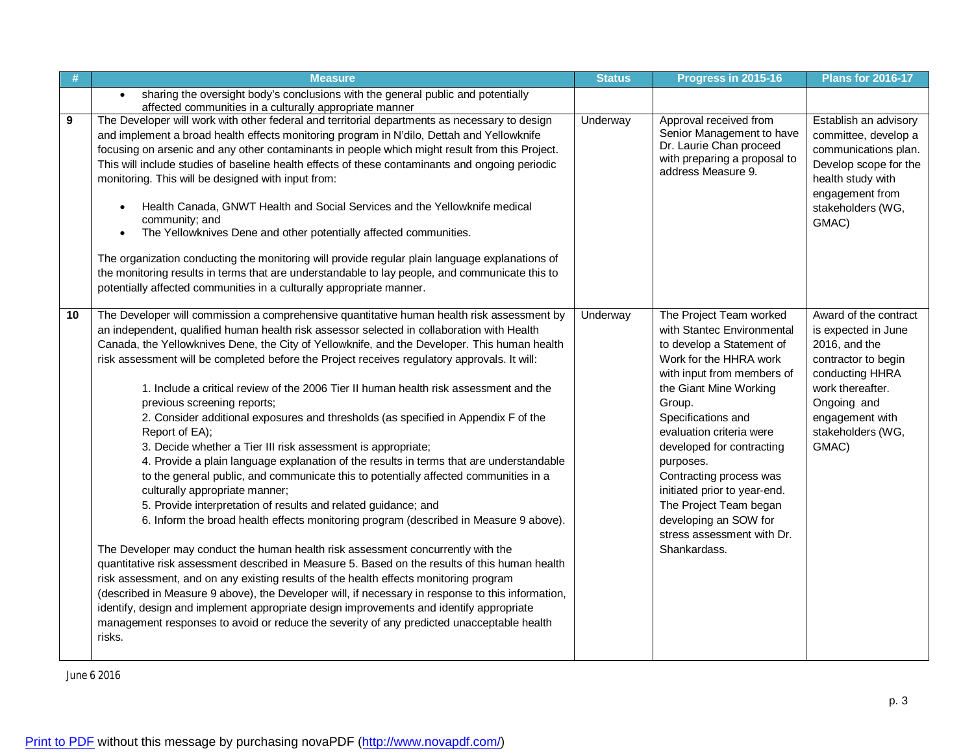| #  | <b>Measure</b>                                                                                                                                                                                                                                                                                                                                                                                                                                                                                                                                                                                                                                                                                                                                                                                                                                                                                                                                                                                                                                                                                                                                                                                                                                                                                                                                                                                                                                                                                                                                                                                                                                                 | <b>Status</b> | Progress in 2015-16                                                                                                                                                                                                                                                                                                                                                                                                                    | <b>Plans for 2016-17</b>                                                                                                                                                                    |
|----|----------------------------------------------------------------------------------------------------------------------------------------------------------------------------------------------------------------------------------------------------------------------------------------------------------------------------------------------------------------------------------------------------------------------------------------------------------------------------------------------------------------------------------------------------------------------------------------------------------------------------------------------------------------------------------------------------------------------------------------------------------------------------------------------------------------------------------------------------------------------------------------------------------------------------------------------------------------------------------------------------------------------------------------------------------------------------------------------------------------------------------------------------------------------------------------------------------------------------------------------------------------------------------------------------------------------------------------------------------------------------------------------------------------------------------------------------------------------------------------------------------------------------------------------------------------------------------------------------------------------------------------------------------------|---------------|----------------------------------------------------------------------------------------------------------------------------------------------------------------------------------------------------------------------------------------------------------------------------------------------------------------------------------------------------------------------------------------------------------------------------------------|---------------------------------------------------------------------------------------------------------------------------------------------------------------------------------------------|
|    | sharing the oversight body's conclusions with the general public and potentially<br>affected communities in a culturally appropriate manner                                                                                                                                                                                                                                                                                                                                                                                                                                                                                                                                                                                                                                                                                                                                                                                                                                                                                                                                                                                                                                                                                                                                                                                                                                                                                                                                                                                                                                                                                                                    |               |                                                                                                                                                                                                                                                                                                                                                                                                                                        |                                                                                                                                                                                             |
| 9  | The Developer will work with other federal and territorial departments as necessary to design<br>and implement a broad health effects monitoring program in N'dilo, Dettah and Yellowknife<br>focusing on arsenic and any other contaminants in people which might result from this Project.<br>This will include studies of baseline health effects of these contaminants and ongoing periodic<br>monitoring. This will be designed with input from:<br>Health Canada, GNWT Health and Social Services and the Yellowknife medical<br>$\bullet$<br>community; and<br>The Yellowknives Dene and other potentially affected communities.<br>The organization conducting the monitoring will provide regular plain language explanations of<br>the monitoring results in terms that are understandable to lay people, and communicate this to<br>potentially affected communities in a culturally appropriate manner.                                                                                                                                                                                                                                                                                                                                                                                                                                                                                                                                                                                                                                                                                                                                            | Underway      | Approval received from<br>Senior Management to have<br>Dr. Laurie Chan proceed<br>with preparing a proposal to<br>address Measure 9.                                                                                                                                                                                                                                                                                                   | Establish an advisory<br>committee, develop a<br>communications plan.<br>Develop scope for the<br>health study with<br>engagement from<br>stakeholders (WG,<br>GMAC)                        |
| 10 | The Developer will commission a comprehensive quantitative human health risk assessment by<br>an independent, qualified human health risk assessor selected in collaboration with Health<br>Canada, the Yellowknives Dene, the City of Yellowknife, and the Developer. This human health<br>risk assessment will be completed before the Project receives regulatory approvals. It will:<br>1. Include a critical review of the 2006 Tier II human health risk assessment and the<br>previous screening reports;<br>2. Consider additional exposures and thresholds (as specified in Appendix F of the<br>Report of EA);<br>3. Decide whether a Tier III risk assessment is appropriate;<br>4. Provide a plain language explanation of the results in terms that are understandable<br>to the general public, and communicate this to potentially affected communities in a<br>culturally appropriate manner;<br>5. Provide interpretation of results and related guidance; and<br>6. Inform the broad health effects monitoring program (described in Measure 9 above).<br>The Developer may conduct the human health risk assessment concurrently with the<br>quantitative risk assessment described in Measure 5. Based on the results of this human health<br>risk assessment, and on any existing results of the health effects monitoring program<br>(described in Measure 9 above), the Developer will, if necessary in response to this information,<br>identify, design and implement appropriate design improvements and identify appropriate<br>management responses to avoid or reduce the severity of any predicted unacceptable health<br>risks. | Underway      | The Project Team worked<br>with Stantec Environmental<br>to develop a Statement of<br>Work for the HHRA work<br>with input from members of<br>the Giant Mine Working<br>Group.<br>Specifications and<br>evaluation criteria were<br>developed for contracting<br>purposes.<br>Contracting process was<br>initiated prior to year-end.<br>The Project Team began<br>developing an SOW for<br>stress assessment with Dr.<br>Shankardass. | Award of the contract<br>is expected in June<br>2016, and the<br>contractor to begin<br>conducting HHRA<br>work thereafter.<br>Ongoing and<br>engagement with<br>stakeholders (WG,<br>GMAC) |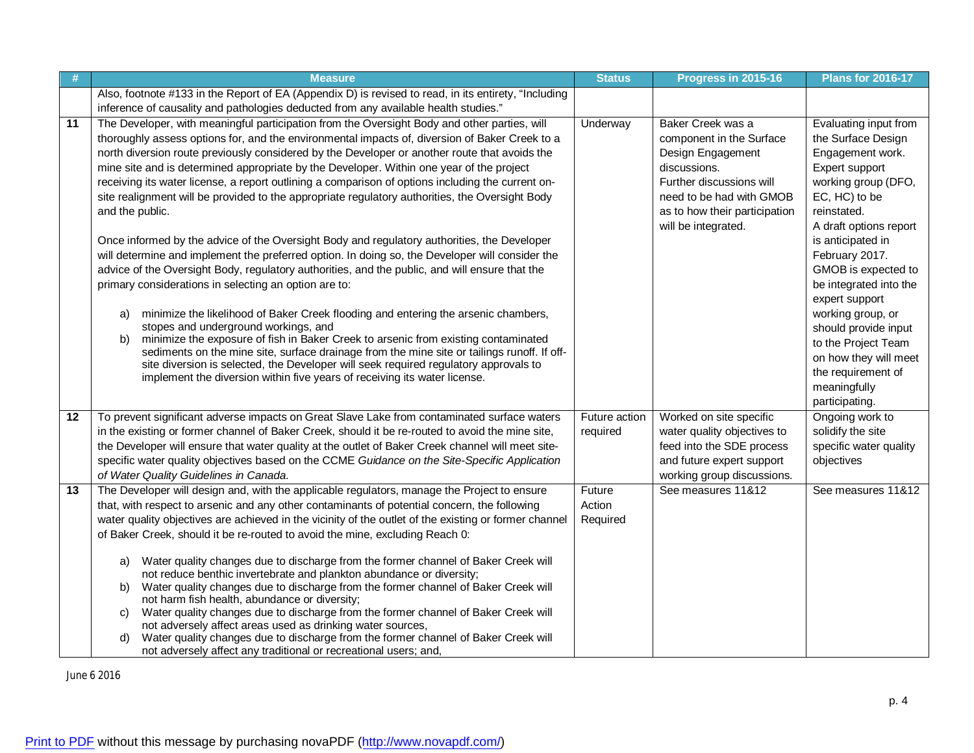| -#              | <b>Measure</b>                                                                                                                                                                              | <b>Status</b>    | Progress in 2015-16               | <b>Plans for 2016-17</b>                    |
|-----------------|---------------------------------------------------------------------------------------------------------------------------------------------------------------------------------------------|------------------|-----------------------------------|---------------------------------------------|
|                 | Also, footnote #133 in the Report of EA (Appendix D) is revised to read, in its entirety, "Including                                                                                        |                  |                                   |                                             |
|                 | inference of causality and pathologies deducted from any available health studies."                                                                                                         |                  |                                   |                                             |
| 11              | The Developer, with meaningful participation from the Oversight Body and other parties, will                                                                                                | Underway         | Baker Creek was a                 | Evaluating input from                       |
|                 | thoroughly assess options for, and the environmental impacts of, diversion of Baker Creek to a                                                                                              |                  | component in the Surface          | the Surface Design                          |
|                 | north diversion route previously considered by the Developer or another route that avoids the<br>mine site and is determined appropriate by the Developer. Within one year of the project   |                  | Design Engagement<br>discussions. | Engagement work.<br>Expert support          |
|                 | receiving its water license, a report outlining a comparison of options including the current on-                                                                                           |                  | Further discussions will          | working group (DFO,                         |
|                 | site realignment will be provided to the appropriate regulatory authorities, the Oversight Body                                                                                             |                  | need to be had with GMOB          | EC, HC) to be                               |
|                 | and the public.                                                                                                                                                                             |                  | as to how their participation     | reinstated.                                 |
|                 |                                                                                                                                                                                             |                  | will be integrated.               | A draft options report                      |
|                 | Once informed by the advice of the Oversight Body and regulatory authorities, the Developer                                                                                                 |                  |                                   | is anticipated in                           |
|                 | will determine and implement the preferred option. In doing so, the Developer will consider the                                                                                             |                  |                                   | February 2017.                              |
|                 | advice of the Oversight Body, regulatory authorities, and the public, and will ensure that the                                                                                              |                  |                                   | GMOB is expected to                         |
|                 | primary considerations in selecting an option are to:                                                                                                                                       |                  |                                   | be integrated into the                      |
|                 |                                                                                                                                                                                             |                  |                                   | expert support                              |
|                 | minimize the likelihood of Baker Creek flooding and entering the arsenic chambers,<br>a)<br>stopes and underground workings, and                                                            |                  |                                   | working group, or                           |
|                 | minimize the exposure of fish in Baker Creek to arsenic from existing contaminated<br>b)                                                                                                    |                  |                                   | should provide input<br>to the Project Team |
|                 | sediments on the mine site, surface drainage from the mine site or tailings runoff. If off-                                                                                                 |                  |                                   | on how they will meet                       |
|                 | site diversion is selected, the Developer will seek required regulatory approvals to                                                                                                        |                  |                                   | the requirement of                          |
|                 | implement the diversion within five years of receiving its water license.                                                                                                                   |                  |                                   | meaningfully                                |
|                 |                                                                                                                                                                                             |                  |                                   | participating.                              |
| 12              | To prevent significant adverse impacts on Great Slave Lake from contaminated surface waters                                                                                                 | Future action    | Worked on site specific           | Ongoing work to                             |
|                 | in the existing or former channel of Baker Creek, should it be re-routed to avoid the mine site,                                                                                            | required         | water quality objectives to       | solidify the site                           |
|                 | the Developer will ensure that water quality at the outlet of Baker Creek channel will meet site-                                                                                           |                  | feed into the SDE process         | specific water quality                      |
|                 | specific water quality objectives based on the CCME Guidance on the Site-Specific Application                                                                                               |                  | and future expert support         | objectives                                  |
|                 | of Water Quality Guidelines in Canada.                                                                                                                                                      |                  | working group discussions.        |                                             |
| $\overline{13}$ | The Developer will design and, with the applicable regulators, manage the Project to ensure<br>that, with respect to arsenic and any other contaminants of potential concern, the following | Future<br>Action | See measures 11&12                | See measures 11&12                          |
|                 | water quality objectives are achieved in the vicinity of the outlet of the existing or former channel                                                                                       | Required         |                                   |                                             |
|                 | of Baker Creek, should it be re-routed to avoid the mine, excluding Reach 0:                                                                                                                |                  |                                   |                                             |
|                 |                                                                                                                                                                                             |                  |                                   |                                             |
|                 | Water quality changes due to discharge from the former channel of Baker Creek will<br>a)                                                                                                    |                  |                                   |                                             |
|                 | not reduce benthic invertebrate and plankton abundance or diversity;                                                                                                                        |                  |                                   |                                             |
|                 | Water quality changes due to discharge from the former channel of Baker Creek will<br>b)<br>not harm fish health, abundance or diversity;                                                   |                  |                                   |                                             |
|                 | Water quality changes due to discharge from the former channel of Baker Creek will<br>C)                                                                                                    |                  |                                   |                                             |
|                 | not adversely affect areas used as drinking water sources,                                                                                                                                  |                  |                                   |                                             |
|                 | Water quality changes due to discharge from the former channel of Baker Creek will<br>d)                                                                                                    |                  |                                   |                                             |
|                 | not adversely affect any traditional or recreational users; and,                                                                                                                            |                  |                                   |                                             |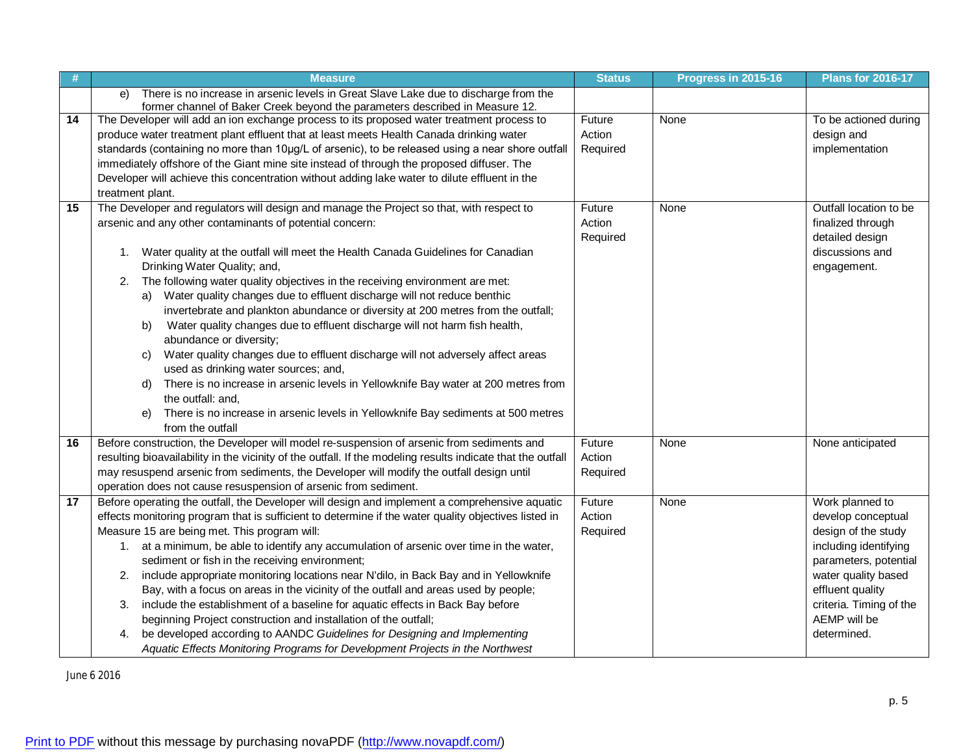| #  | <b>Measure</b>                                                                                              | <b>Status</b> | Progress in 2015-16 | <b>Plans for 2016-17</b> |
|----|-------------------------------------------------------------------------------------------------------------|---------------|---------------------|--------------------------|
|    | There is no increase in arsenic levels in Great Slave Lake due to discharge from the<br>e)                  |               |                     |                          |
|    | former channel of Baker Creek beyond the parameters described in Measure 12.                                |               |                     |                          |
| 14 | The Developer will add an ion exchange process to its proposed water treatment process to                   | Future        | None                | To be actioned during    |
|    | produce water treatment plant effluent that at least meets Health Canada drinking water                     | Action        |                     | design and               |
|    | standards (containing no more than 10µg/L of arsenic), to be released using a near shore outfall            | Required      |                     | implementation           |
|    | immediately offshore of the Giant mine site instead of through the proposed diffuser. The                   |               |                     |                          |
|    | Developer will achieve this concentration without adding lake water to dilute effluent in the               |               |                     |                          |
|    | treatment plant.                                                                                            |               |                     |                          |
| 15 | The Developer and regulators will design and manage the Project so that, with respect to                    | Future        | None                | Outfall location to be   |
|    | arsenic and any other contaminants of potential concern:                                                    | Action        |                     | finalized through        |
|    |                                                                                                             | Required      |                     | detailed design          |
|    | 1. Water quality at the outfall will meet the Health Canada Guidelines for Canadian                         |               |                     | discussions and          |
|    | Drinking Water Quality; and,                                                                                |               |                     | engagement.              |
|    | The following water quality objectives in the receiving environment are met:<br>2.                          |               |                     |                          |
|    | a) Water quality changes due to effluent discharge will not reduce benthic                                  |               |                     |                          |
|    | invertebrate and plankton abundance or diversity at 200 metres from the outfall;                            |               |                     |                          |
|    | Water quality changes due to effluent discharge will not harm fish health,<br>b)                            |               |                     |                          |
|    | abundance or diversity;                                                                                     |               |                     |                          |
|    | Water quality changes due to effluent discharge will not adversely affect areas<br>C)                       |               |                     |                          |
|    | used as drinking water sources; and,                                                                        |               |                     |                          |
|    | There is no increase in arsenic levels in Yellowknife Bay water at 200 metres from<br>d)                    |               |                     |                          |
|    | the outfall: and,                                                                                           |               |                     |                          |
|    | There is no increase in arsenic levels in Yellowknife Bay sediments at 500 metres<br>e)                     |               |                     |                          |
|    | from the outfall                                                                                            |               |                     |                          |
| 16 | Before construction, the Developer will model re-suspension of arsenic from sediments and                   | Future        | None                | None anticipated         |
|    | resulting bioavailability in the vicinity of the outfall. If the modeling results indicate that the outfall | Action        |                     |                          |
|    | may resuspend arsenic from sediments, the Developer will modify the outfall design until                    | Required      |                     |                          |
|    | operation does not cause resuspension of arsenic from sediment.                                             |               |                     |                          |
| 17 | Before operating the outfall, the Developer will design and implement a comprehensive aquatic               | Future        | None                | Work planned to          |
|    | effects monitoring program that is sufficient to determine if the water quality objectives listed in        | Action        |                     | develop conceptual       |
|    | Measure 15 are being met. This program will:                                                                | Required      |                     | design of the study      |
|    | 1. at a minimum, be able to identify any accumulation of arsenic over time in the water,                    |               |                     | including identifying    |
|    | sediment or fish in the receiving environment;                                                              |               |                     | parameters, potential    |
|    | include appropriate monitoring locations near N'dilo, in Back Bay and in Yellowknife<br>2.                  |               |                     | water quality based      |
|    | Bay, with a focus on areas in the vicinity of the outfall and areas used by people;                         |               |                     | effluent quality         |
|    | include the establishment of a baseline for aquatic effects in Back Bay before<br>3.                        |               |                     | criteria. Timing of the  |
|    | beginning Project construction and installation of the outfall;                                             |               |                     | AEMP will be             |
|    | be developed according to AANDC Guidelines for Designing and Implementing<br>4.                             |               |                     | determined.              |
|    | Aquatic Effects Monitoring Programs for Development Projects in the Northwest                               |               |                     |                          |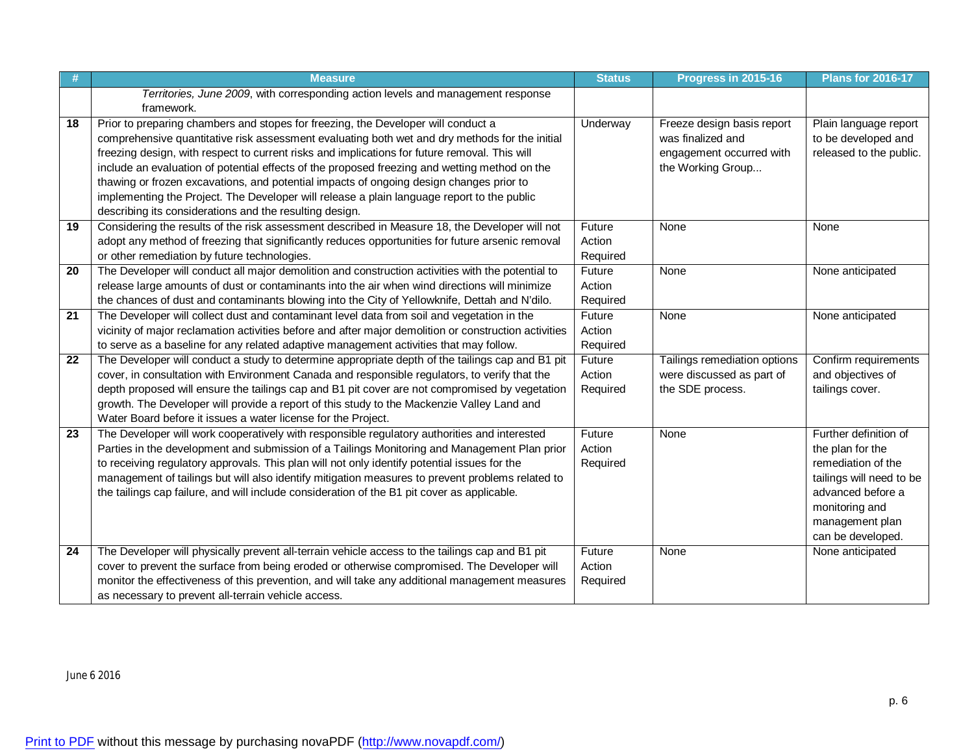|                 | <b>Measure</b>                                                                                                                                                                                                                                                                                                                                                                                                                                                                                                                                                                                                                            | <b>Status</b>                | Progress in 2015-16                                                                              | <b>Plans for 2016-17</b>                                                                                                                                                   |
|-----------------|-------------------------------------------------------------------------------------------------------------------------------------------------------------------------------------------------------------------------------------------------------------------------------------------------------------------------------------------------------------------------------------------------------------------------------------------------------------------------------------------------------------------------------------------------------------------------------------------------------------------------------------------|------------------------------|--------------------------------------------------------------------------------------------------|----------------------------------------------------------------------------------------------------------------------------------------------------------------------------|
|                 | Territories, June 2009, with corresponding action levels and management response<br>framework.                                                                                                                                                                                                                                                                                                                                                                                                                                                                                                                                            |                              |                                                                                                  |                                                                                                                                                                            |
| 18              | Prior to preparing chambers and stopes for freezing, the Developer will conduct a<br>comprehensive quantitative risk assessment evaluating both wet and dry methods for the initial<br>freezing design, with respect to current risks and implications for future removal. This will<br>include an evaluation of potential effects of the proposed freezing and wetting method on the<br>thawing or frozen excavations, and potential impacts of ongoing design changes prior to<br>implementing the Project. The Developer will release a plain language report to the public<br>describing its considerations and the resulting design. | <b>Underway</b>              | Freeze design basis report<br>was finalized and<br>engagement occurred with<br>the Working Group | Plain language report<br>to be developed and<br>released to the public.                                                                                                    |
| 19              | Considering the results of the risk assessment described in Measure 18, the Developer will not<br>adopt any method of freezing that significantly reduces opportunities for future arsenic removal<br>or other remediation by future technologies.                                                                                                                                                                                                                                                                                                                                                                                        | Future<br>Action<br>Required | None                                                                                             | None                                                                                                                                                                       |
| 20              | The Developer will conduct all major demolition and construction activities with the potential to<br>release large amounts of dust or contaminants into the air when wind directions will minimize<br>the chances of dust and contaminants blowing into the City of Yellowknife, Dettah and N'dilo.                                                                                                                                                                                                                                                                                                                                       | Future<br>Action<br>Required | None                                                                                             | None anticipated                                                                                                                                                           |
| $\overline{21}$ | The Developer will collect dust and contaminant level data from soil and vegetation in the<br>vicinity of major reclamation activities before and after major demolition or construction activities<br>to serve as a baseline for any related adaptive management activities that may follow.                                                                                                                                                                                                                                                                                                                                             | Future<br>Action<br>Required | None                                                                                             | None anticipated                                                                                                                                                           |
| 22              | The Developer will conduct a study to determine appropriate depth of the tailings cap and B1 pit<br>cover, in consultation with Environment Canada and responsible regulators, to verify that the<br>depth proposed will ensure the tailings cap and B1 pit cover are not compromised by vegetation<br>growth. The Developer will provide a report of this study to the Mackenzie Valley Land and<br>Water Board before it issues a water license for the Project.                                                                                                                                                                        | Future<br>Action<br>Required | Tailings remediation options<br>were discussed as part of<br>the SDE process.                    | Confirm requirements<br>and objectives of<br>tailings cover.                                                                                                               |
| 23              | The Developer will work cooperatively with responsible regulatory authorities and interested<br>Parties in the development and submission of a Tailings Monitoring and Management Plan prior<br>to receiving regulatory approvals. This plan will not only identify potential issues for the<br>management of tailings but will also identify mitigation measures to prevent problems related to<br>the tailings cap failure, and will include consideration of the B1 pit cover as applicable.                                                                                                                                           | Future<br>Action<br>Required | None                                                                                             | Further definition of<br>the plan for the<br>remediation of the<br>tailings will need to be<br>advanced before a<br>monitoring and<br>management plan<br>can be developed. |
| $\overline{24}$ | The Developer will physically prevent all-terrain vehicle access to the tailings cap and B1 pit<br>cover to prevent the surface from being eroded or otherwise compromised. The Developer will<br>monitor the effectiveness of this prevention, and will take any additional management measures<br>as necessary to prevent all-terrain vehicle access.                                                                                                                                                                                                                                                                                   | Future<br>Action<br>Required | None                                                                                             | None anticipated                                                                                                                                                           |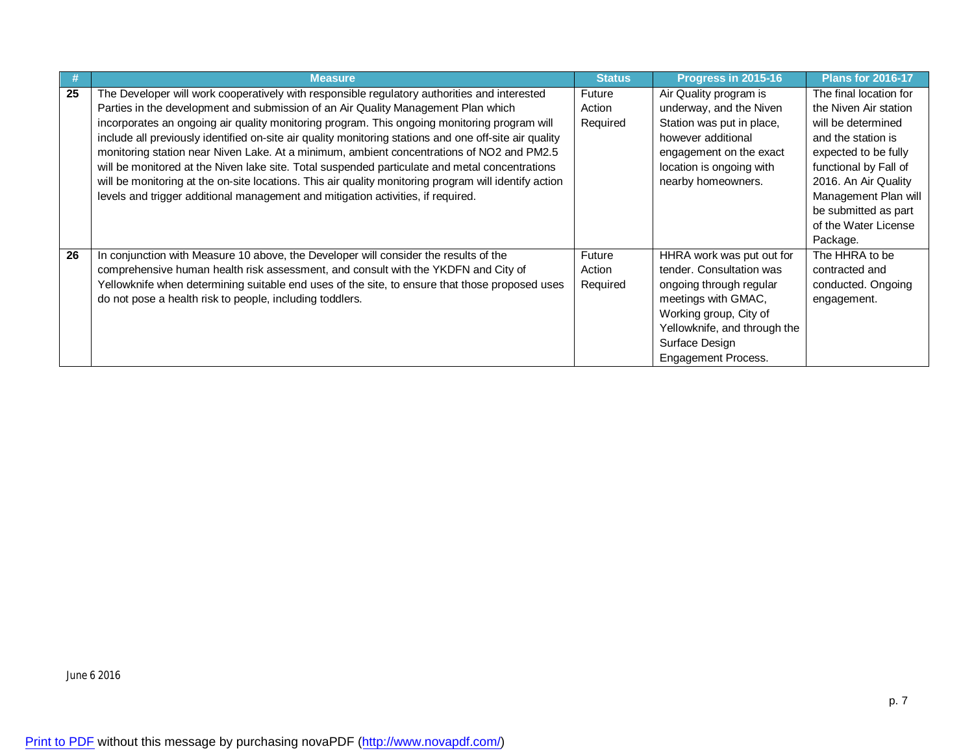|    | <b>Measure</b>                                                                                         | <b>Status</b> | Progress in 2015-16          | <b>Plans for 2016-17</b> |
|----|--------------------------------------------------------------------------------------------------------|---------------|------------------------------|--------------------------|
| 25 | The Developer will work cooperatively with responsible regulatory authorities and interested           | Future        | Air Quality program is       | The final location for   |
|    | Parties in the development and submission of an Air Quality Management Plan which                      | Action        | underway, and the Niven      | the Niven Air station    |
|    | incorporates an ongoing air quality monitoring program. This ongoing monitoring program will           | Required      | Station was put in place,    | will be determined       |
|    | include all previously identified on-site air quality monitoring stations and one off-site air quality |               | however additional           | and the station is       |
|    | monitoring station near Niven Lake. At a minimum, ambient concentrations of NO2 and PM2.5              |               | engagement on the exact      | expected to be fully     |
|    | will be monitored at the Niven lake site. Total suspended particulate and metal concentrations         |               | location is ongoing with     | functional by Fall of    |
|    | will be monitoring at the on-site locations. This air quality monitoring program will identify action  |               | nearby homeowners.           | 2016. An Air Quality     |
|    | levels and trigger additional management and mitigation activities, if required.                       |               |                              | Management Plan will     |
|    |                                                                                                        |               |                              | be submitted as part     |
|    |                                                                                                        |               |                              | of the Water License     |
|    |                                                                                                        |               |                              | Package.                 |
| 26 | In conjunction with Measure 10 above, the Developer will consider the results of the                   | Future        | HHRA work was put out for    | The HHRA to be           |
|    | comprehensive human health risk assessment, and consult with the YKDFN and City of                     | Action        | tender. Consultation was     | contracted and           |
|    | Yellowknife when determining suitable end uses of the site, to ensure that those proposed uses         | Required      | ongoing through regular      | conducted. Ongoing       |
|    | do not pose a health risk to people, including toddlers.                                               |               | meetings with GMAC,          | engagement.              |
|    |                                                                                                        |               | Working group, City of       |                          |
|    |                                                                                                        |               | Yellowknife, and through the |                          |
|    |                                                                                                        |               | Surface Design               |                          |
|    |                                                                                                        |               | <b>Engagement Process.</b>   |                          |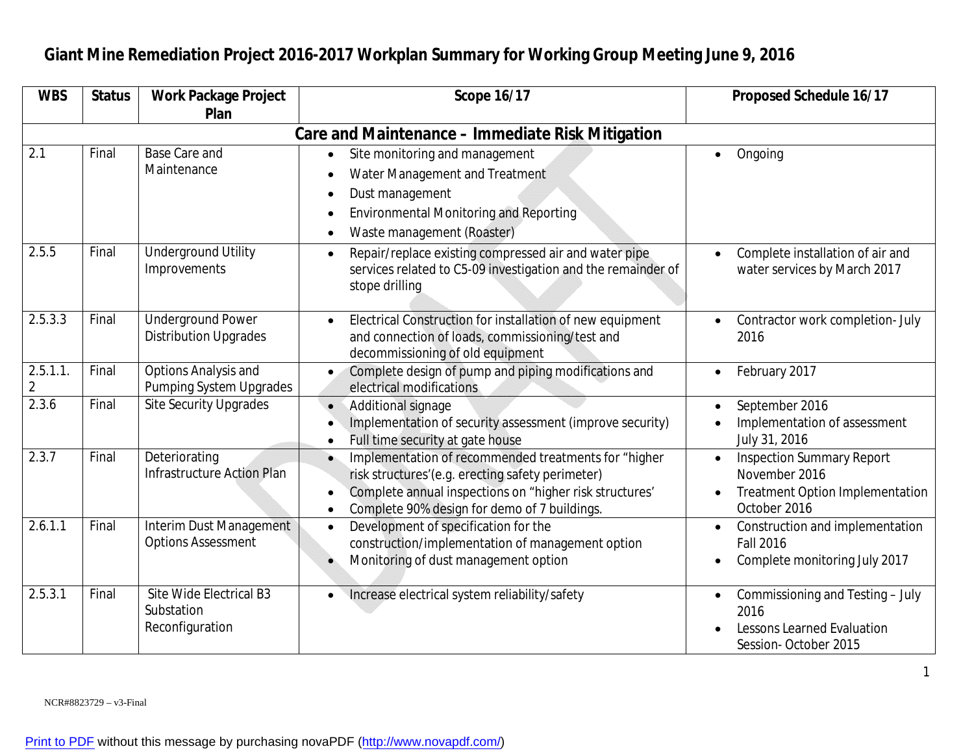| <b>WBS</b>   | <b>Status</b> | <b>Work Package Project</b>                              | <b>Scope 16/17</b>                                                                                                                                                                                                                                         | <b>Proposed Schedule 16/17</b>                                                                              |
|--------------|---------------|----------------------------------------------------------|------------------------------------------------------------------------------------------------------------------------------------------------------------------------------------------------------------------------------------------------------------|-------------------------------------------------------------------------------------------------------------|
|              |               | Plan                                                     |                                                                                                                                                                                                                                                            |                                                                                                             |
|              |               |                                                          | Care and Maintenance - Immediate Risk Mitigation                                                                                                                                                                                                           |                                                                                                             |
| 2.1          | Final         | <b>Base Care and</b><br>Maintenance                      | Site monitoring and management<br>Water Management and Treatment<br>Dust management<br>$\bullet$<br><b>Environmental Monitoring and Reporting</b><br>Waste management (Roaster)                                                                            | Ongoing<br>$\bullet$                                                                                        |
| 2.5.5        | Final         | <b>Underground Utility</b><br>Improvements               | Repair/replace existing compressed air and water pipe<br>$\bullet$<br>services related to C5-09 investigation and the remainder of<br>stope drilling                                                                                                       | Complete installation of air and<br>water services by March 2017                                            |
| 2.5.3.3      | Final         | <b>Underground Power</b><br><b>Distribution Upgrades</b> | Electrical Construction for installation of new equipment<br>and connection of loads, commissioning/test and<br>decommissioning of old equipment                                                                                                           | Contractor work completion- July<br>2016                                                                    |
| 2.5.1.1<br>2 | Final         | Options Analysis and<br>Pumping System Upgrades          | Complete design of pump and piping modifications and<br>electrical modifications                                                                                                                                                                           | February 2017                                                                                               |
| 2.3.6        | Final         | <b>Site Security Upgrades</b>                            | Additional signage<br>Implementation of security assessment (improve security)<br>Full time security at gate house<br>$\bullet$                                                                                                                            | September 2016<br>Implementation of assessment<br>July 31, 2016                                             |
| 2.3.7        | Final         | Deteriorating<br><b>Infrastructure Action Plan</b>       | Implementation of recommended treatments for "higher<br>$\bullet$<br>risk structures'(e.g. erecting safety perimeter)<br>Complete annual inspections on "higher risk structures'<br>$\bullet$<br>Complete 90% design for demo of 7 buildings.<br>$\bullet$ | <b>Inspection Summary Report</b><br>November 2016<br><b>Treatment Option Implementation</b><br>October 2016 |
| 2.6.1.1      | Final         | Interim Dust Management<br><b>Options Assessment</b>     | Development of specification for the<br>$\bullet$<br>construction/implementation of management option<br>Monitoring of dust management option                                                                                                              | Construction and implementation<br><b>Fall 2016</b><br>Complete monitoring July 2017                        |
| 2.5.3.1      | Final         | Site Wide Electrical B3<br>Substation<br>Reconfiguration | Increase electrical system reliability/safety                                                                                                                                                                                                              | Commissioning and Testing - July<br>2016<br><b>Lessons Learned Evaluation</b><br>Session-October 2015       |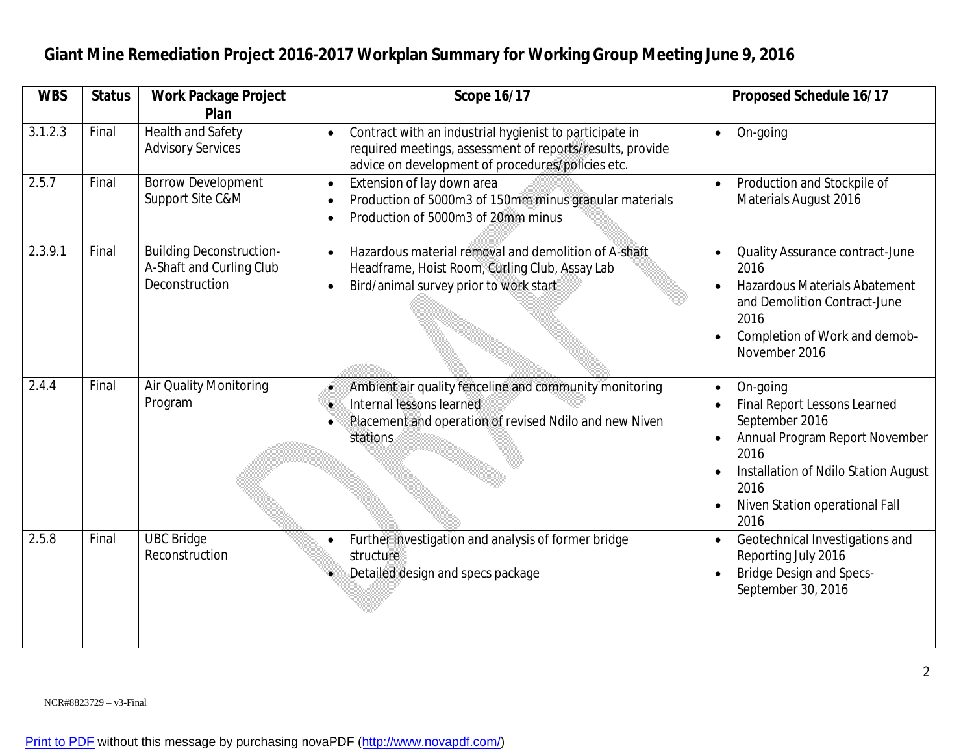| <b>WBS</b> | <b>Status</b> | <b>Work Package Project</b>                                                   | <b>Scope 16/17</b>                                                                                                                                                                     | <b>Proposed Schedule 16/17</b>                                                                                                                                                                 |
|------------|---------------|-------------------------------------------------------------------------------|----------------------------------------------------------------------------------------------------------------------------------------------------------------------------------------|------------------------------------------------------------------------------------------------------------------------------------------------------------------------------------------------|
|            |               | Plan                                                                          |                                                                                                                                                                                        |                                                                                                                                                                                                |
| 3.1.2.3    | Final         | <b>Health and Safety</b><br><b>Advisory Services</b>                          | Contract with an industrial hygienist to participate in<br>$\bullet$<br>required meetings, assessment of reports/results, provide<br>advice on development of procedures/policies etc. | On-going<br>$\bullet$                                                                                                                                                                          |
| 2.5.7      | Final         | <b>Borrow Development</b><br>Support Site C&M                                 | Extension of lay down area<br>$\bullet$<br>Production of 5000m3 of 150mm minus granular materials<br>Production of 5000m3 of 20mm minus                                                | Production and Stockpile of<br>Materials August 2016                                                                                                                                           |
| 2.3.9.1    | Final         | <b>Building Deconstruction-</b><br>A-Shaft and Curling Club<br>Deconstruction | Hazardous material removal and demolition of A-shaft<br>$\bullet$<br>Headframe, Hoist Room, Curling Club, Assay Lab<br>Bird/animal survey prior to work start                          | Quality Assurance contract-June<br>2016<br><b>Hazardous Materials Abatement</b><br>and Demolition Contract-June<br>2016<br>Completion of Work and demob-<br>November 2016                      |
| 2.4.4      | Final         | Air Quality Monitoring<br>Program                                             | Ambient air quality fenceline and community monitoring<br>Internal lessons learned<br>Placement and operation of revised Ndilo and new Niven<br>stations                               | On-going<br>Final Report Lessons Learned<br>September 2016<br>Annual Program Report November<br>2016<br>Installation of Ndilo Station August<br>2016<br>Niven Station operational Fall<br>2016 |
| 2.5.8      | Final         | <b>UBC Bridge</b><br>Reconstruction                                           | Further investigation and analysis of former bridge<br>$\bullet$<br>structure<br>Detailed design and specs package                                                                     | Geotechnical Investigations and<br>$\bullet$<br>Reporting July 2016<br><b>Bridge Design and Specs-</b><br>September 30, 2016                                                                   |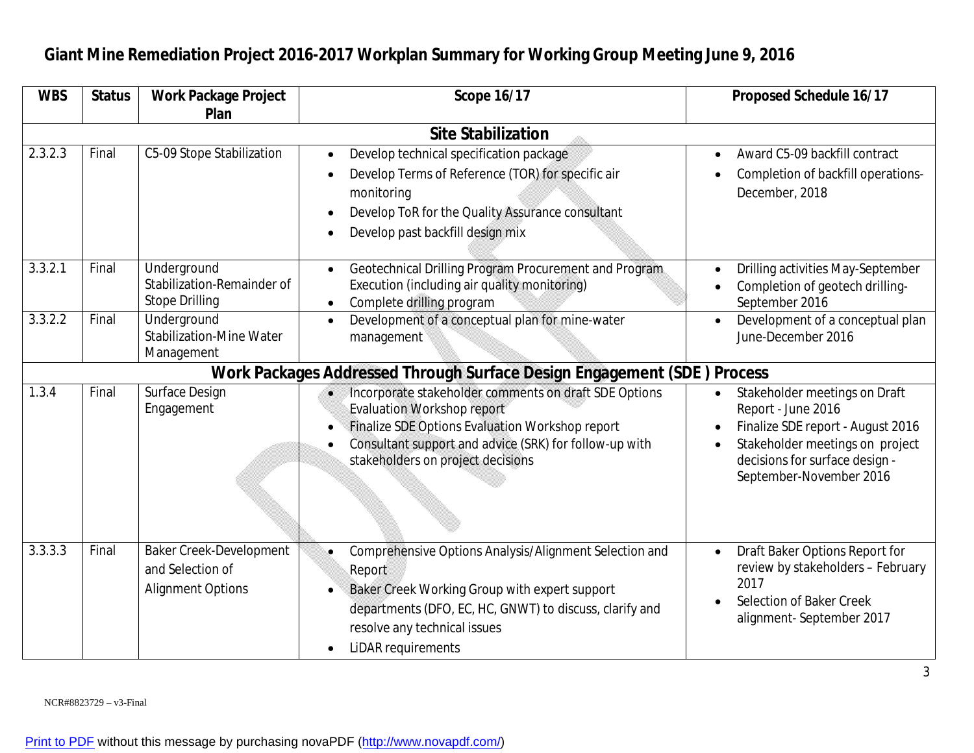#### **WBS** | Status | Work Package Project **Plan Scope 16/17 Proposed Schedule 16/17 Site Stabilization** 2.3.2.3 | Final | C5-09 Stope Stabilization | • Develop technical specification package Develop Terms of Reference (TOR) for specific air monitoring Develop ToR for the Quality Assurance consultant Develop past backfill design mix Award C5-09 backfill contract Completion of backfill operations-December, 2018 3.3.2.1 Final Underground Stabilization-Remainder of Stope Drilling Geotechnical Drilling Program Procurement and Program Execution (including air quality monitoring) • Complete drilling program Drilling activities May-September Completion of geotech drilling-September 2016 3.3.2.2 Final Underground Stabilization-Mine Water Management Development of a conceptual plan for mine-water management Development of a conceptual plan June-December 2016 **Work Packages Addressed Through Surface Design Engagement (SDE ) Process** 1.3.4 | Final | Surface Design Engagement Incorporate stakeholder comments on draft SDE Options Evaluation Workshop report Finalize SDE Options Evaluation Workshop report Consultant support and advice (SRK) for follow-up with stakeholders on project decisions Stakeholder meetings on Draft Report - June 2016 Finalize SDE report - August 2016 Stakeholder meetings on project decisions for surface design - September-November 2016 3.3.3.3 Final Baker Creek-Development and Selection of Alignment Options Comprehensive Options Analysis/Alignment Selection and Report Baker Creek Working Group with expert support departments (DFO, EC, HC, GNWT) to discuss, clarify and resolve any technical issues • LiDAR requirements Draft Baker Options Report for review by stakeholders – February 2017 Selection of Baker Creek alignment- September 2017

#### **Giant Mine Remediation Project 2016-2017 Workplan Summary for Working Group Meeting June 9, 2016**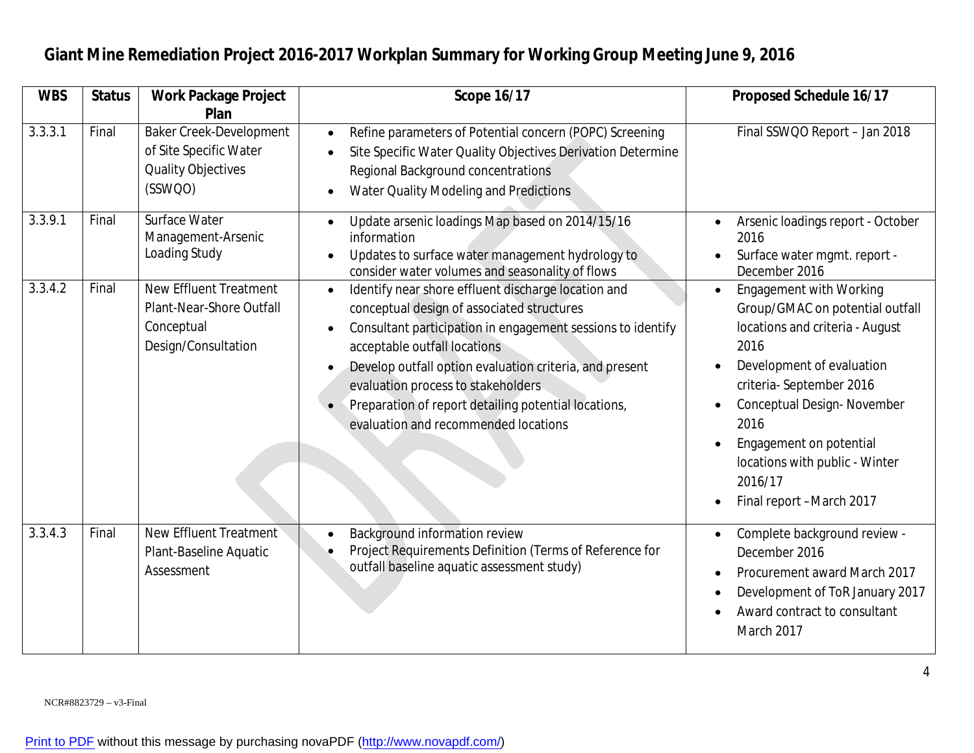| <b>WBS</b> | <b>Status</b> | <b>Work Package Project</b><br>Plan                                                            | <b>Scope 16/17</b>                                                                                                                                                                                                                                                                                                                                                                                | <b>Proposed Schedule 16/17</b>                                                                                                                                                                                                                                                                                 |
|------------|---------------|------------------------------------------------------------------------------------------------|---------------------------------------------------------------------------------------------------------------------------------------------------------------------------------------------------------------------------------------------------------------------------------------------------------------------------------------------------------------------------------------------------|----------------------------------------------------------------------------------------------------------------------------------------------------------------------------------------------------------------------------------------------------------------------------------------------------------------|
| 3.3.3.1    | Final         | <b>Baker Creek-Development</b><br>of Site Specific Water<br>Quality Objectives<br>(SSWQO)      | Refine parameters of Potential concern (POPC) Screening<br>$\bullet$<br>Site Specific Water Quality Objectives Derivation Determine<br>Regional Background concentrations<br>Water Quality Modeling and Predictions                                                                                                                                                                               | Final SSWQO Report - Jan 2018                                                                                                                                                                                                                                                                                  |
| 3.3.9.1    | Final         | Surface Water<br>Management-Arsenic<br>Loading Study                                           | Update arsenic loadings Map based on 2014/15/16<br>information<br>Updates to surface water management hydrology to<br>consider water volumes and seasonality of flows                                                                                                                                                                                                                             | Arsenic loadings report - October<br>2016<br>Surface water mgmt. report -<br>December 2016                                                                                                                                                                                                                     |
| 3.3.4.2    | Final         | <b>New Effluent Treatment</b><br>Plant-Near-Shore Outfall<br>Conceptual<br>Design/Consultation | Identify near shore effluent discharge location and<br>conceptual design of associated structures<br>Consultant participation in engagement sessions to identify<br>acceptable outfall locations<br>Develop outfall option evaluation criteria, and present<br>evaluation process to stakeholders<br>Preparation of report detailing potential locations,<br>evaluation and recommended locations | <b>Engagement with Working</b><br>Group/GMAC on potential outfall<br>locations and criteria - August<br>2016<br>Development of evaluation<br>criteria-September 2016<br>Conceptual Design-November<br>2016<br>Engagement on potential<br>locations with public - Winter<br>2016/17<br>Final report -March 2017 |
| 3.3.4.3    | Final         | <b>New Effluent Treatment</b><br>Plant-Baseline Aquatic<br>Assessment                          | Background information review<br>Project Requirements Definition (Terms of Reference for<br>outfall baseline aquatic assessment study)                                                                                                                                                                                                                                                            | Complete background review -<br>December 2016<br>Procurement award March 2017<br>Development of ToR January 2017<br>Award contract to consultant<br>March 2017                                                                                                                                                 |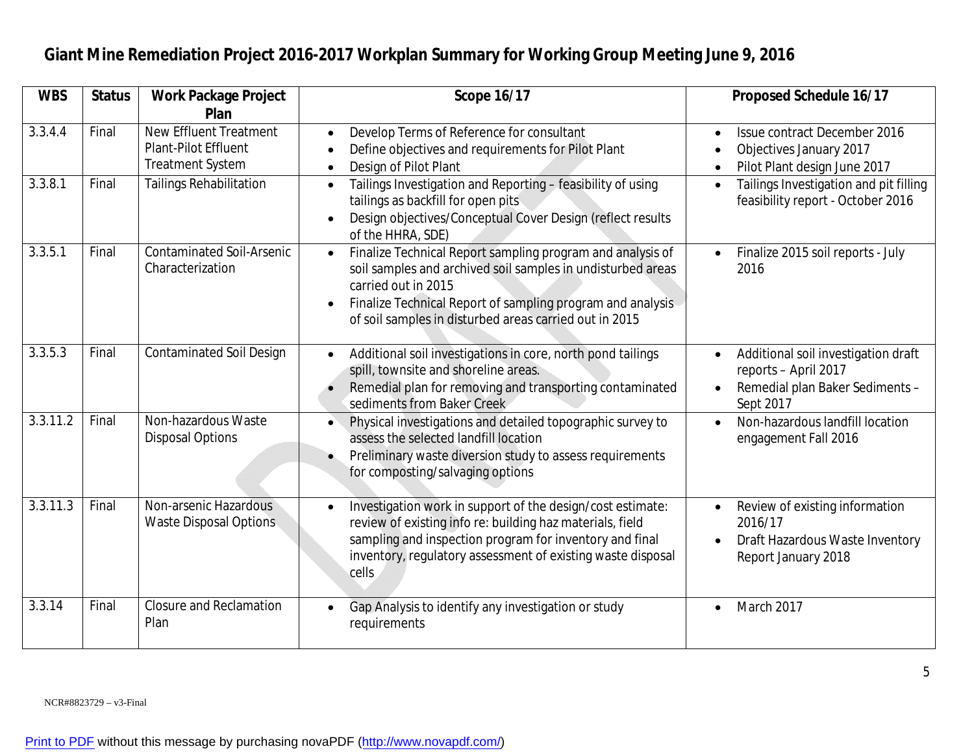| <b>WBS</b> | <b>Status</b> | <b>Work Package Project</b>                                                      | <b>Scope 16/17</b>                                                                                                                                                                                                                                                       | <b>Proposed Schedule 16/17</b>                                                                                           |
|------------|---------------|----------------------------------------------------------------------------------|--------------------------------------------------------------------------------------------------------------------------------------------------------------------------------------------------------------------------------------------------------------------------|--------------------------------------------------------------------------------------------------------------------------|
|            |               | Plan                                                                             |                                                                                                                                                                                                                                                                          |                                                                                                                          |
| 3.3.4.4    | Final         | <b>New Effluent Treatment</b><br>Plant-Pilot Effluent<br><b>Treatment System</b> | Develop Terms of Reference for consultant<br>Define objectives and requirements for Pilot Plant<br>Design of Pilot Plant<br>$\bullet$                                                                                                                                    | Issue contract December 2016<br>Objectives January 2017<br>Pilot Plant design June 2017                                  |
| 3.3.8.1    | Final         | <b>Tailings Rehabilitation</b>                                                   | Tailings Investigation and Reporting - feasibility of using<br>$\bullet$<br>tailings as backfill for open pits<br>Design objectives/Conceptual Cover Design (reflect results<br>of the HHRA, SDE)                                                                        | Tailings Investigation and pit filling<br>$\bullet$<br>feasibility report - October 2016                                 |
| 3.3.5.1    | Final         | <b>Contaminated Soil-Arsenic</b><br>Characterization                             | Finalize Technical Report sampling program and analysis of<br>soil samples and archived soil samples in undisturbed areas<br>carried out in 2015<br>Finalize Technical Report of sampling program and analysis<br>of soil samples in disturbed areas carried out in 2015 | Finalize 2015 soil reports - July<br>2016                                                                                |
| 3.3.5.3    | Final         | <b>Contaminated Soil Design</b>                                                  | Additional soil investigations in core, north pond tailings<br>$\bullet$<br>spill, townsite and shoreline areas.<br>Remedial plan for removing and transporting contaminated<br>sediments from Baker Creek                                                               | Additional soil investigation draft<br>$\bullet$<br>reports - April 2017<br>Remedial plan Baker Sediments -<br>Sept 2017 |
| 3.3.11.2   | Final         | Non-hazardous Waste<br><b>Disposal Options</b>                                   | Physical investigations and detailed topographic survey to<br>$\bullet$<br>assess the selected landfill location<br>Preliminary waste diversion study to assess requirements<br>for composting/salvaging options                                                         | Non-hazardous landfill location<br>$\bullet$<br>engagement Fall 2016                                                     |
| 3.3.11.3   | Final         | Non-arsenic Hazardous<br><b>Waste Disposal Options</b>                           | Investigation work in support of the design/cost estimate:<br>review of existing info re: building haz materials, field<br>sampling and inspection program for inventory and final<br>inventory, regulatory assessment of existing waste disposal<br>cells               | Review of existing information<br>$\bullet$<br>2016/17<br>Draft Hazardous Waste Inventory<br>Report January 2018         |
| 3.3.14     | Final         | <b>Closure and Reclamation</b><br>Plan                                           | Gap Analysis to identify any investigation or study<br>requirements                                                                                                                                                                                                      | March 2017<br>$\bullet$                                                                                                  |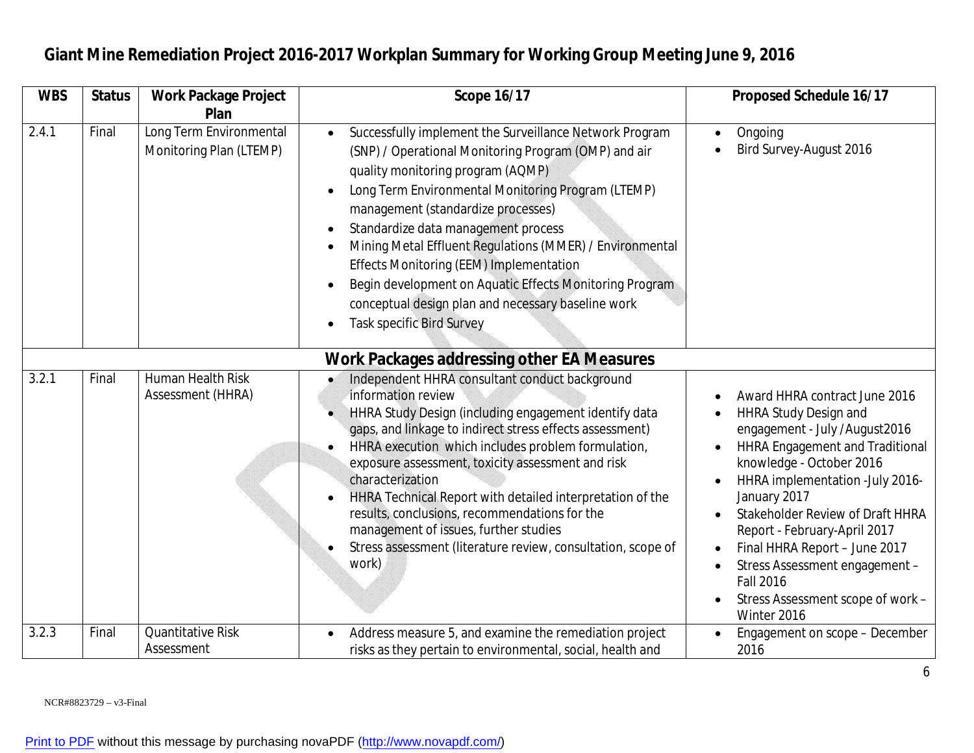| <b>WBS</b> | <b>Status</b> | <b>Work Package Project</b>                        | <b>Scope 16/17</b>                                                                                                                                                                                                                                                                                                                                                                                                                                                                                                                                                            | <b>Proposed Schedule 16/17</b>                                                                                                                                                                                                                                                                                                                                                                                                          |
|------------|---------------|----------------------------------------------------|-------------------------------------------------------------------------------------------------------------------------------------------------------------------------------------------------------------------------------------------------------------------------------------------------------------------------------------------------------------------------------------------------------------------------------------------------------------------------------------------------------------------------------------------------------------------------------|-----------------------------------------------------------------------------------------------------------------------------------------------------------------------------------------------------------------------------------------------------------------------------------------------------------------------------------------------------------------------------------------------------------------------------------------|
|            |               | Plan                                               |                                                                                                                                                                                                                                                                                                                                                                                                                                                                                                                                                                               |                                                                                                                                                                                                                                                                                                                                                                                                                                         |
| 2.4.1      | Final         | Long Term Environmental<br>Monitoring Plan (LTEMP) | Successfully implement the Surveillance Network Program<br>$\bullet$<br>(SNP) / Operational Monitoring Program (OMP) and air<br>quality monitoring program (AQMP)<br>Long Term Environmental Monitoring Program (LTEMP)<br>$\bullet$<br>management (standardize processes)<br>Standardize data management process<br>Mining Metal Effluent Regulations (MMER) / Environmental<br>Effects Monitoring (EEM) Implementation<br>Begin development on Aquatic Effects Monitoring Program<br>conceptual design plan and necessary baseline work<br><b>Task specific Bird Survey</b> | Ongoing<br>Bird Survey-August 2016                                                                                                                                                                                                                                                                                                                                                                                                      |
|            |               |                                                    | <b>Work Packages addressing other EA Measures</b>                                                                                                                                                                                                                                                                                                                                                                                                                                                                                                                             |                                                                                                                                                                                                                                                                                                                                                                                                                                         |
| 3.2.1      | Final         | Human Health Risk<br>Assessment (HHRA)             | Independent HHRA consultant conduct background<br>information review<br>HHRA Study Design (including engagement identify data<br>gaps, and linkage to indirect stress effects assessment)<br>HHRA execution which includes problem formulation,<br>exposure assessment, toxicity assessment and risk<br>characterization<br>HHRA Technical Report with detailed interpretation of the<br>results, conclusions, recommendations for the<br>management of issues, further studies<br>Stress assessment (literature review, consultation, scope of<br>work)                      | Award HHRA contract June 2016<br><b>HHRA Study Design and</b><br>engagement - July /August2016<br><b>HHRA Engagement and Traditional</b><br>knowledge - October 2016<br>HHRA implementation - July 2016-<br>January 2017<br>Stakeholder Review of Draft HHRA<br>Report - February-April 2017<br>Final HHRA Report - June 2017<br>Stress Assessment engagement -<br><b>Fall 2016</b><br>Stress Assessment scope of work -<br>Winter 2016 |
| 3.2.3      | Final         | <b>Quantitative Risk</b><br>Assessment             | Address measure 5, and examine the remediation project<br>risks as they pertain to environmental, social, health and                                                                                                                                                                                                                                                                                                                                                                                                                                                          | Engagement on scope - December<br>2016                                                                                                                                                                                                                                                                                                                                                                                                  |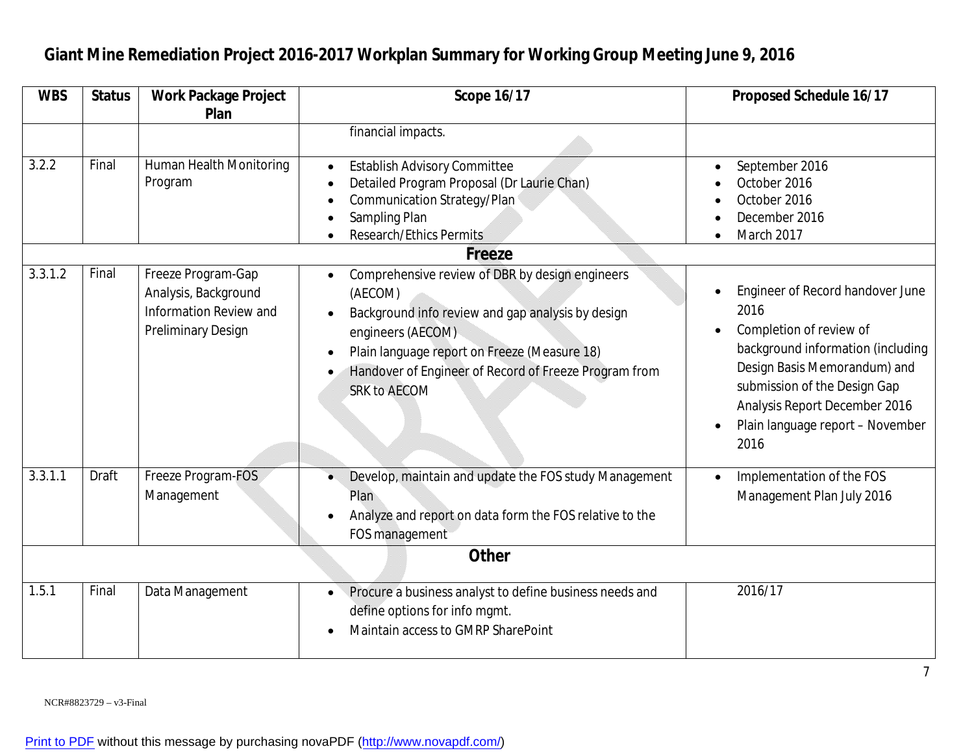#### **WBS** | Status | Work Package Project **Plan Scope 16/17 Proposed Schedule 16/17** financial impacts. 3.2.2 Final Human Health Monitoring Program Establish Advisory Committee Detailed Program Proposal (Dr Laurie Chan) Communication Strategy/Plan Sampling Plan • Research/Ethics Permits September 2016 October 2016 October 2016 December 2016 • March 2017 **Freeze** 3.3.1.2 Final Freeze Program-Gap Analysis, Background Information Review and Preliminary Design Comprehensive review of DBR by design engineers (AECOM) Background info review and gap analysis by design engineers (AECOM) • Plain language report on Freeze (Measure 18) Handover of Engineer of Record of Freeze Program from SRK to AECOM Engineer of Record handover June 2016 Completion of review of background information (including Design Basis Memorandum) and submission of the Design Gap Analysis Report December 2016 Plain language report – November 2016 3.3.1.1 | Draft | Freeze Program-FOS Management Develop, maintain and update the FOS study Management Plan Analyze and report on data form the FOS relative to the FOS management • Implementation of the FOS Management Plan July 2016 **Other** 1.5.1 Final Data Management Procure a business analyst to define business needs and define options for info mgmt. • Maintain access to GMRP SharePoint 2016/17

### **Giant Mine Remediation Project 2016-2017 Workplan Summary for Working Group Meeting June 9, 2016**

NCR#8823729 – v3-Final

[Print to PDF](http://www.novapdf.com/) without this message by purchasing novaPDF (<http://www.novapdf.com/>)